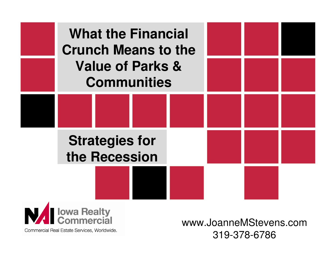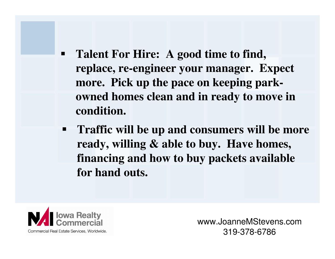- п **Talent For Hire: A good time to find, replace, re-engineer your manager. Expect more. Pick up the pace on keeping parkowned homes clean and in ready to move in condition.**
- $\blacksquare$  **Traffic will be up and consumers will be more ready, willing & able to buy. Have homes, financing and how to buy packets available for hand outs.**

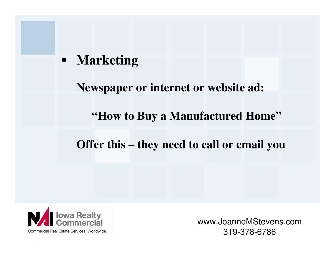#### $\blacksquare$ **Marketing**

#### **Newspaper or internet or website ad:**

#### **"How to Buy a Manufactured Home"**

#### **Offer this – they need to call or email you**

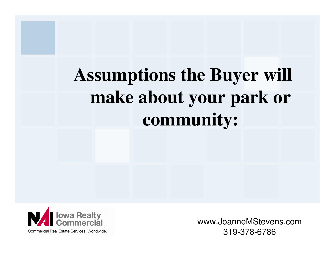# **Assumptions the Buyer will make about your park or community:**

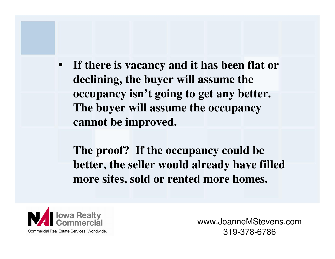$\blacksquare$  **If there is vacancy and it has been flat or declining, the buyer will assume the occupancy isn't going to get any better. The buyer will assume the occupancy cannot be improved.**

**The proof? If the occupancy could be better, the seller would already have filled more sites, sold or rented more homes.**

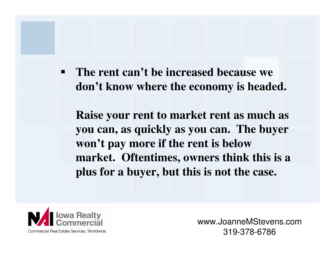$\blacksquare$  **The rent can't be increased because we don't know where the economy is headed.** 

**Raise your rent to market rent as much as you can, as quickly as you can. The buyer won't pay more if the rent is below market. Oftentimes, owners think this is a plus for a buyer, but this is not the case.**

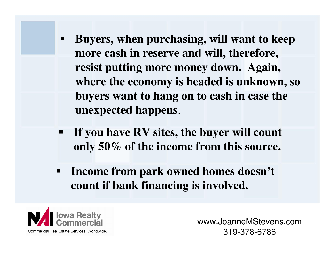- $\blacksquare$  **Buyers, when purchasing, will want to keep more cash in reserve and will, therefore, resist putting more money down. Again, where the economy is headed is unknown, so buyers want to hang on to cash in case the unexpected happens**.
- **If you have RV sites, the buyer will count only 50% of the income from this source.**
- **Income from park owned homes doesn't count if bank financing is involved.**

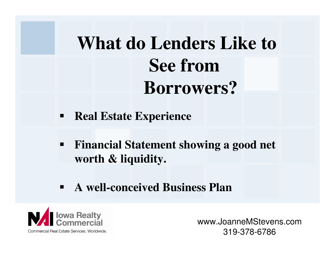## **What do Lenders Like to See fromBorrowers?**

- **Real Estate Experience**
- $\blacksquare$  **Financial Statement showing a good net worth & liquidity.**
- **A well-conceived Business Plan**

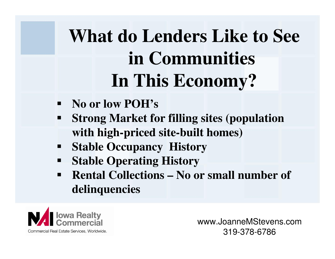# **What do Lenders Like to See in CommunitiesIn This Economy?**

- **No or low POH's**
- $\blacksquare$  **Strong Market for filling sites (population with high-priced site-built homes)**
- ш **Stable Occupancy History**
- $\blacksquare$ **Stable Operating History**
- **Rental Collections – No or small number of**   $\blacksquare$ **delinquencies**

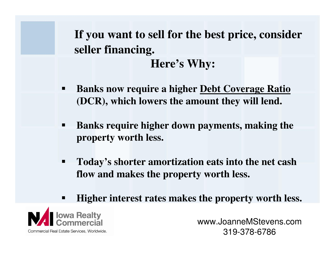**If you want to sell for the best price, consider seller financing.Here's Why:**

- $\blacksquare$  **Banks now require a higher Debt Coverage Ratio(DCR), which lowers the amount they will lend.**
- $\overline{\phantom{a}}$  **Banks require higher down payments, making the property worth less.**
- $\blacksquare$  **Today's shorter amortization eats into the net cashflow and makes the property worth less.**
- E **Higher interest rates makes the property worth less.**

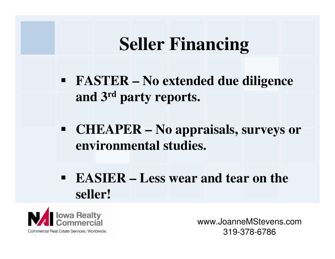### **Seller Financing**

- **FASTER – No extended due diligence and 3rd party reports.**
- **CHEAPER – No appraisals, surveys or environmental studies.**
- **EASIER – Less wear and tear on the seller!**

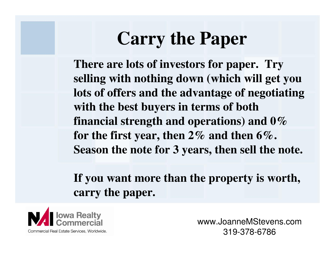### **Carry the Paper**

**There are lots of investors for paper. Try selling with nothing down (which will get you lots of offers and the advantage of negotiating with the best buyers in terms of both financial strength and operations) and 0% for the first year, then 2% and then 6%. Season the note for 3 years, then sell the note.**

### **If you want more than the property is worth, carry the paper.**

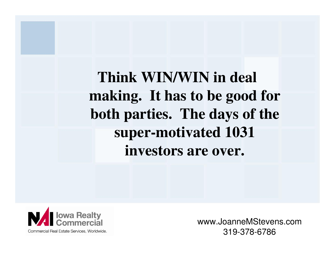**Think WIN/WIN in deal making. It has to be good for both parties. The days of the super-motivated 1031 investors are over.**

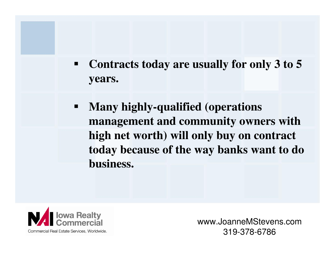- $\blacksquare$  **Contracts today are usually for only 3 to 5 years.**
- $\blacksquare$  **Many highly-qualified (operations management and community owners with high net worth) will only buy on contract today because of the way banks want to do business.**

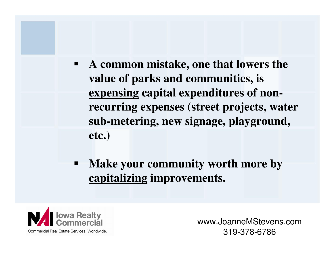- $\blacksquare$  **A common mistake, one that lowers the value of parks and communities, is expensing capital expenditures of nonrecurring expenses (street projects, water sub-metering, new signage, playground, etc.)**
- **Make your community worth more by capitalizing improvements.**